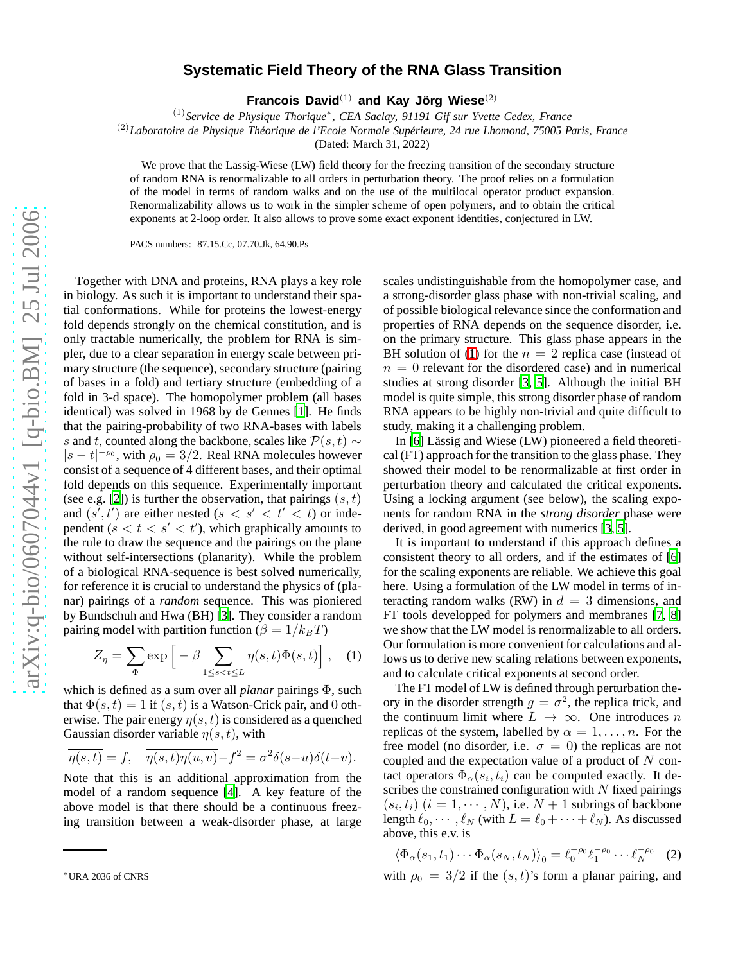## **Systematic Field Theory of the RNA Glass Transition**

Francois David<sup>(1)</sup> and Kay Jörg Wiese<sup>(2)</sup>

(1)*Service de Physique Thorique*<sup>∗</sup> *, CEA Saclay, 91191 Gif sur Yvette Cedex, France*

<sup>(2)</sup>Laboratoire de Physique Théorique de l'Ecole Normale Supérieure, 24 rue Lhomond, 75005 Paris, France

(Dated: March 31, 2022)

We prove that the Lässig-Wiese (LW) field theory for the freezing transition of the secondary structure of random RNA is renormalizable to all orders in perturbation theory. The proof relies on a formulation of the model in terms of random walks and on the use of the multilocal operator product expansion. Renormalizability allows us to work in the simpler scheme of open polymers, and to obtain the critical exponents at 2-loop order. It also allows to prove some exact exponent identities, conjectured in LW.

PACS numbers: 87.15.Cc, 07.70.Jk, 64.90.Ps

Together with DNA and proteins, RNA plays a key role in biology. As such it is important to understand their spatial conformations. While for proteins the lowest-energy fold depends strongly on the chemical constitution, and is only tractable numerically, the problem for RNA is simpler, due to a clear separation in energy scale between primary structure (the sequence), secondary structure (pairing of bases in a fold) and tertiary structure (embedding of a fold in 3-d space). The homopolymer problem (all bases identical) was solved in 1968 by de Gennes [\[1](#page-3-0)]. He finds that the pairing-probability of two RNA-bases with labels s and t, counted along the backbone, scales like  $P(s, t) \sim$  $|s-t|^{-\rho_0}$ , with  $\rho_0 = 3/2$ . Real RNA molecules however consist of a sequence of 4 different bases, and their optimal fold depends on this sequence. Experimentally important (see e.g. [\[2\]](#page-3-1)) is further the observation, that pairings  $(s, t)$ and  $(s', t')$  are either nested  $(s < s' < t' < t)$  or independent ( $s < t < s' < t'$ ), which graphically amounts to the rule to draw the sequence and the pairings on the plane without self-intersections (planarity). While the problem of a biological RNA-sequence is best solved numerically, for reference it is crucial to understand the physics of (planar) pairings of a *random* sequence. This was pioniered by Bundschuh and Hwa (BH) [\[3\]](#page-3-2). They consider a random pairing model with partition function ( $\beta = 1/k_B T$ )

$$
Z_{\eta} = \sum_{\Phi} \exp\left[-\beta \sum_{1 \le s < t \le L} \eta(s, t) \Phi(s, t)\right], \quad (1)
$$

which is defined as a sum over all *planar* pairings Φ, such that  $\Phi(s, t) = 1$  if  $(s, t)$  is a Watson-Crick pair, and 0 otherwise. The pair energy  $\eta(s,t)$  is considered as a quenched Gaussian disorder variable  $\eta(s, t)$ , with

$$
\overline{\eta(s,t)} = f, \quad \overline{\eta(s,t)\eta(u,v)} - f^2 = \sigma^2 \delta(s-u)\delta(t-v).
$$

Note that this is an additional approximation from the model of a random sequence [\[4](#page-3-3)]. A key feature of the above model is that there should be a continuous freezing transition between a weak-disorder phase, at large scales undistinguishable from the homopolymer case, and a strong-disorder glass phase with non-trivial scaling, and of possible biological relevance since the conformation and properties of RNA depends on the sequence disorder, i.e. on the primary structure. This glass phase appears in the BH solution of [\(1\)](#page-0-0) for the  $n = 2$  replica case (instead of  $n = 0$  relevant for the disordered case) and in numerical studies at strong disorder [\[3,](#page-3-2) [5\]](#page-3-4). Although the initial BH model is quite simple, this strong disorder phase of random RNA appears to be highly non-trivial and quite difficult to study, making it a challenging problem.

In [\[6](#page-3-5)] Lässig and Wiese (LW) pioneered a field theoretical (FT) approach for the transition to the glass phase. They showed their model to be renormalizable at first order in perturbation theory and calculated the critical exponents. Using a locking argument (see below), the scaling exponents for random RNA in the *strong disorder* phase were derived, in good agreement with numerics [\[3,](#page-3-2) [5](#page-3-4)].

<span id="page-0-0"></span>It is important to understand if this approach defines a consistent theory to all orders, and if the estimates of [\[6\]](#page-3-5) for the scaling exponents are reliable. We achieve this goal here. Using a formulation of the LW model in terms of interacting random walks (RW) in  $d = 3$  dimensions, and FT tools developped for polymers and membranes [\[7,](#page-3-6) [8\]](#page-3-7) we show that the LW model is renormalizable to all orders. Our formulation is more convenient for calculations and allows us to derive new scaling relations between exponents, and to calculate critical exponents at second order.

The FT model of LW is defined through perturbation theory in the disorder strength  $g = \sigma^2$ , the replica trick, and the continuum limit where  $L \rightarrow \infty$ . One introduces n replicas of the system, labelled by  $\alpha = 1, \ldots, n$ . For the free model (no disorder, i.e.  $\sigma = 0$ ) the replicas are not coupled and the expectation value of a product of  $N$  contact operators  $\Phi_{\alpha}(s_i, t_i)$  can be computed exactly. It describes the constrained configuration with  $N$  fixed pairings  $(s_i, t_i)$   $(i = 1, \cdots, N)$ , i.e.  $N + 1$  subrings of backbone length  $\ell_0, \dots, \ell_N$  (with  $L = \ell_0 + \dots + \ell_N$ ). As discussed above, this e.v. is

<span id="page-0-1"></span>
$$
\langle \Phi_{\alpha}(s_1, t_1) \cdots \Phi_{\alpha}(s_N, t_N) \rangle_0 = \ell_0^{-\rho_0} \ell_1^{-\rho_0} \cdots \ell_N^{-\rho_0} \quad (2)
$$

with  $\rho_0 = 3/2$  if the  $(s, t)$ 's form a planar pairing, and

<sup>∗</sup>URA 2036 of CNRS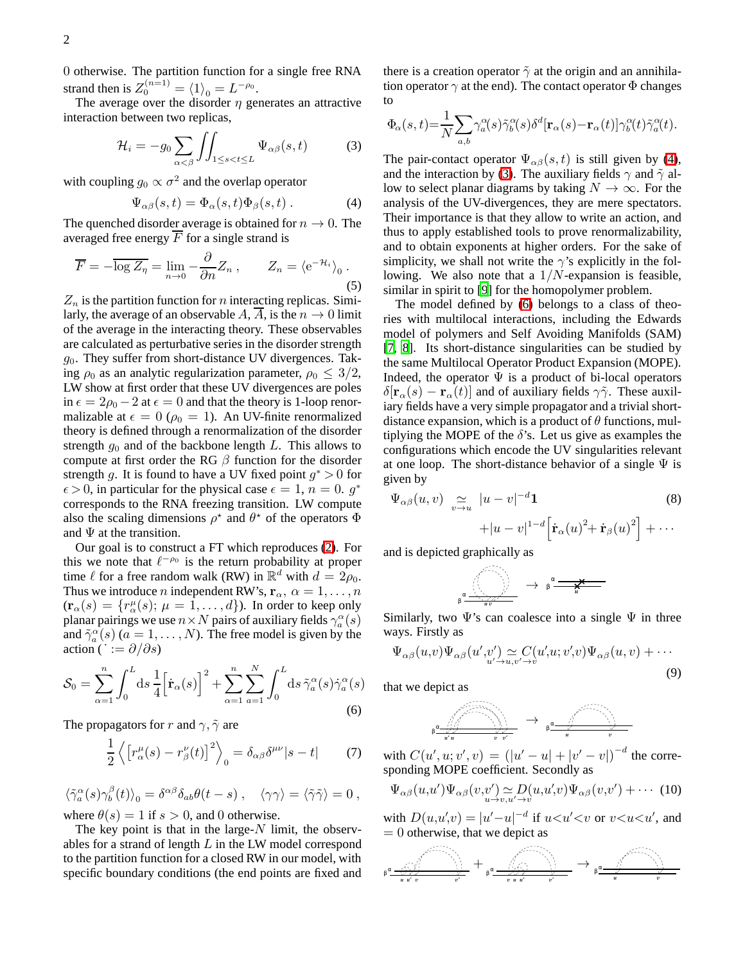0 otherwise. The partition function for a single free RNA strand then is  $Z_0^{(n=1)} = \langle 1 \rangle_0 = L^{-\rho_0}$ .

The average over the disorder  $\eta$  generates an attractive interaction between two replicas,

<span id="page-1-1"></span>
$$
\mathcal{H}_i = -g_0 \sum_{\alpha < \beta} \iint_{1 \le s < t \le L} \Psi_{\alpha\beta}(s, t) \tag{3}
$$

with coupling  $g_0 \propto \sigma^2$  and the overlap operator

<span id="page-1-0"></span>
$$
\Psi_{\alpha\beta}(s,t) = \Phi_{\alpha}(s,t)\Phi_{\beta}(s,t) . \tag{4}
$$

The quenched disorder average is obtained for  $n \to 0$ . The averaged free energy  $F$  for a single strand is

$$
\overline{F} = -\overline{\log Z_{\eta}} = \lim_{n \to 0} -\frac{\partial}{\partial n} Z_n , \qquad Z_n = \langle e^{-\mathcal{H}_i} \rangle_0 . \tag{5}
$$

 $Z_n$  is the partition function for n interacting replicas. Similarly, the average of an observable A, A, is the  $n \to 0$  limit of the average in the interacting theory. These observables are calculated as perturbative series in the disorder strength  $g_0$ . They suffer from short-distance UV divergences. Taking  $\rho_0$  as an analytic regularization parameter,  $\rho_0 \leq 3/2$ , LW show at first order that these UV divergences are poles in  $\epsilon = 2\rho_0 - 2$  at  $\epsilon = 0$  and that the theory is 1-loop renormalizable at  $\epsilon = 0$  ( $\rho_0 = 1$ ). An UV-finite renormalized theory is defined through a renormalization of the disorder strength  $g_0$  and of the backbone length L. This allows to compute at first order the RG  $\beta$  function for the disorder strength g. It is found to have a UV fixed point  $g^* > 0$  for  $\epsilon > 0$ , in particular for the physical case  $\epsilon = 1$ ,  $n = 0$ .  $g^*$ corresponds to the RNA freezing transition. LW compute also the scaling dimensions  $\rho^*$  and  $\theta^*$  of the operators  $\Phi$ and  $\Psi$  at the transition.

Our goal is to construct a FT which reproduces [\(2\)](#page-0-1). For this we note that  $\ell^{-\rho_0}$  is the return probability at proper time  $\ell$  for a free random walk (RW) in  $\mathbb{R}^d$  with  $d = 2\rho_0$ . Thus we introduce *n* independent RW's,  $\mathbf{r}_{\alpha}$ ,  $\alpha = 1, \dots, n$  $(\mathbf{r}_{\alpha}(s) = \{r_{\alpha}^{\mu}(s); \mu = 1, \dots, d\})$ . In order to keep only planar pairings we use  $n \times N$  pairs of auxiliary fields  $\gamma_a^{\alpha}(s)$ and  $\tilde{\gamma}_a^{\alpha}(s)$  ( $a = 1, ..., N$ ). The free model is given by the action ( $\therefore = \partial/\partial s$ )

<span id="page-1-2"></span>
$$
\mathcal{S}_0 = \sum_{\alpha=1}^n \int_0^L ds \, \frac{1}{4} \Big[ \dot{\mathbf{r}}_{\alpha}(s) \Big]^2 + \sum_{\alpha=1}^n \sum_{a=1}^N \int_0^L ds \, \tilde{\gamma}_a^{\alpha}(s) \dot{\gamma}_a^{\alpha}(s)
$$
\n
$$
(6)
$$

The propagators for r and  $\gamma$ ,  $\tilde{\gamma}$  are

$$
\frac{1}{2}\left\langle \left[r_{\alpha}^{\mu}(s)-r_{\beta}^{\nu}(t)\right]^{2}\right\rangle_{0}=\delta_{\alpha\beta}\delta^{\mu\nu}|s-t|\qquad(7)
$$

 $\langle \tilde{\gamma}_a^{\alpha}(s) \gamma_b^{\beta}(t) \rangle_0 = \delta^{\alpha \beta} \delta_{ab} \theta(t-s) \ , \quad \langle \gamma \gamma \rangle = \langle \tilde{\gamma} \tilde{\gamma} \rangle = 0 \ ,$ where  $\theta(s) = 1$  if  $s > 0$ , and 0 otherwise.

The key point is that in the large- $N$  limit, the observables for a strand of length  $L$  in the LW model correspond to the partition function for a closed RW in our model, with specific boundary conditions (the end points are fixed and there is a creation operator  $\tilde{\gamma}$  at the origin and an annihilation operator  $\gamma$  at the end). The contact operator  $\Phi$  changes to

$$
\Phi_{\alpha}(s,t) = \frac{1}{N} \sum_{a,b} \gamma_a^{\alpha}(s) \tilde{\gamma}_b^{\alpha}(s) \delta^d [\mathbf{r}_{\alpha}(s) - \mathbf{r}_{\alpha}(t)] \gamma_b^{\alpha}(t) \tilde{\gamma}_a^{\alpha}(t).
$$

The pair-contact operator  $\Psi_{\alpha\beta}(s,t)$  is still given by [\(4\)](#page-1-0), and the interaction by [\(3\)](#page-1-1). The auxiliary fields  $\gamma$  and  $\tilde{\gamma}$  allow to select planar diagrams by taking  $N \to \infty$ . For the analysis of the UV-divergences, they are mere spectators. Their importance is that they allow to write an action, and thus to apply established tools to prove renormalizability, and to obtain exponents at higher orders. For the sake of simplicity, we shall not write the  $\gamma$ 's explicitly in the following. We also note that a  $1/N$ -expansion is feasible, similar in spirit to [\[9](#page-3-8)] for the homopolymer problem.

The model defined by [\(6\)](#page-1-2) belongs to a class of theories with multilocal interactions, including the Edwards model of polymers and Self Avoiding Manifolds (SAM) [\[7,](#page-3-6) [8](#page-3-7)]. Its short-distance singularities can be studied by the same Multilocal Operator Product Expansion (MOPE). Indeed, the operator  $\Psi$  is a product of bi-local operators  $\delta[\mathbf{r}_{\alpha}(s) - \mathbf{r}_{\alpha}(t)]$  and of auxiliary fields  $\gamma \tilde{\gamma}$ . These auxiliary fields have a very simple propagator and a trivial shortdistance expansion, which is a product of  $\theta$  functions, multiplying the MOPE of the  $\delta$ 's. Let us give as examples the configurations which encode the UV singularities relevant at one loop. The short-distance behavior of a single  $\Psi$  is given by

<span id="page-1-3"></span>
$$
\Psi_{\alpha\beta}(u,v) \underset{v\to u}{\simeq} |u-v|^{-d} \mathbf{1}
$$
\n
$$
+ |u-v|^{1-d} \Big[ \dot{\mathbf{r}}_{\alpha}(u)^{2} + \dot{\mathbf{r}}_{\beta}(u)^{2} \Big] + \cdots
$$
\n
$$
\mathbf{1} \vdots \mathbf{1} \vdots \mathbf{1} \vdots \mathbf{1} \vdots \mathbf{1} \vdots \mathbf{1} \vdots \mathbf{1} \vdots \mathbf{1} \vdots \mathbf{1} \vdots \mathbf{1} \vdots \mathbf{1} \vdots \mathbf{1} \vdots \mathbf{1} \vdots \mathbf{1} \vdots \mathbf{1} \vdots \mathbf{1} \vdots \mathbf{1} \vdots \mathbf{1} \vdots \mathbf{1} \vdots \mathbf{1} \vdots \mathbf{1} \vdots \mathbf{1} \vdots \mathbf{1} \vdots \mathbf{1} \vdots \mathbf{1} \vdots \mathbf{1} \vdots \mathbf{1} \vdots \mathbf{1} \vdots \mathbf{1} \vdots \mathbf{1} \vdots \mathbf{1} \vdots \mathbf{1} \vdots \mathbf{1} \vdots \mathbf{1} \vdots \mathbf{1} \vdots \mathbf{1} \vdots \mathbf{1} \vdots \mathbf{1} \vdots \mathbf{1} \vdots \mathbf{1} \vdots \mathbf{1} \vdots \mathbf{1} \vdots \mathbf{1} \vdots \mathbf{1} \vdots \mathbf{1} \vdots \mathbf{1} \vdots \mathbf{1} \vdots \mathbf{1} \vdots \mathbf{1} \vdots \mathbf{1} \vdots \mathbf{1} \vdots \mathbf{1} \vdots \mathbf{1} \vdots \mathbf{1} \vdots \mathbf{1} \vdots \mathbf{1} \vdots \mathbf{1} \vdots \mathbf{1} \vdots \mathbf{1} \vdots \mathbf{1} \vdots \mathbf{1} \vdots \mathbf{1} \vdots \mathbf{1} \vdots \mathbf{1} \vdots \mathbf{1} \vdots \mathbf{1} \vdots \mathbf{1} \vdots \mathbf{1} \vdots \mathbf{1} \vdots \mathbf{1} \vdots \mathbf{1} \vdots \mathbf{1} \vdots \math
$$

and is depicted graphically as



<span id="page-1-4"></span>Similarly, two  $\Psi$ 's can coalesce into a single  $\Psi$  in three ways. Firstly as

$$
\Psi_{\alpha\beta}(u,v)\Psi_{\alpha\beta}(u',v'_{u'\rightarrow u,v'\rightarrow v}C(u',u;v',v)\Psi_{\alpha\beta}(u,v)+\cdots
$$
\n(9)

that we depict as

<span id="page-1-5"></span>
$$
\begin{array}{ccccc}&&&&&&\\ &\swarrow&&\\ &\swarrow&&\\ &\swarrow&&\\ &\swarrow&&\\ &\swarrow&&\\ &\swarrow&&\\ &\swarrow&&\\ &\swarrow&&\\ &\swarrow&&\\ &\swarrow&&\\ &\swarrow&&\\ &\swarrow&&\\ &\swarrow&&\\ &\swarrow&&\\ &\swarrow&&\\ &\swarrow&&\\ &\swarrow&&\\ &\swarrow&&\\ &\swarrow&&\\ &\swarrow&&\\ &\swarrow&&\\ &\swarrow&&\\ &\swarrow&&\\ &\swarrow&&\\ &\swarrow&&\\ &\swarrow&&\\ &\swarrow&&\\ &\swarrow&&\\ &\swarrow&&\\ &\swarrow&&\\ &\swarrow&&\\ &\swarrow&&\\ &\swarrow&&\\ &\swarrow&&\\ &\swarrow&&\\ &\swarrow&&\\ &\swarrow&&\\ &\swarrow&&\\ &\swarrow&&\\ &\swarrow&&\\ &\swarrow&&\\ &\swarrow&&\\ &\swarrow&&\\ &\swarrow&&\\ &\swarrow&&\\ &\swarrow&&\\ &\swarrow&&\\ &\swarrow&&\\ &\swarrow&&\\ &\swarrow&&\\ &\swarrow&&\\ &\swarrow&&\\ &\swarrow&&\\ &\swarrow&&\\ &\swarrow&&\\ &\swarrow&&\\ &\swarrow&&\\ &\swarrow&&\\ &\swarrow&&\\ &\swarrow&&\\ &\swarrow&&\\ &\swarrow&&\\ &\swarrow&&\\ &\swarrow&&\\ &\swarrow&&\\ &\swarrow&&\\ &\swarrow&&\\ &\swarrow&&\\ &\swarrow&&\\ &\swarrow&&\\ &\swarrow&&\\ &\swarrow&&\\ &\swarrow&&\\ &\swarrow&&\\ &\swarrow&&\\ &\swarrow&&\\ &\swarrow&&\\ &\swarrow&&\\ &\swarrow&&\\ &\swarrow&&\\ &\swarrow&&\\ &\swarrow&&\\ &\swarrow&&\\ &\swarrow&&\\ &\swarrow&&\\ &\swarrow&&\\ &\swarrow&&\\ &\swarrow&&\\ &\swarrow&&\\ &\swarrow&&\\ &\swarrow&&\\ &\swarrow&&\\ &\swarrow&&\\ &\swarrow&&\\ &\swarrow&&\\ &\swarrow&&\\ &\swarrow&&\\ &\swarrow&&\\ &\swarrow&&\\ &\swarrow&&\\ &\swarrow&&\\ &\swarrow&&\\ &\swarrow&&\\ &\swarrow&&\\ &\swarrow&&\\ &\swarrow&&\\ &\swarrow&&\\ &\swarrow&&\\ &\swarrow&&\\ &\swarrow&&\\ &\swarrow&&\\ &\swarrow&&\\ &\swarrow&&\\ &\swarrow&&\\ &\swarrow&&\\ &\swarrow&&\\ &\swarrow&&\\ &\swarrow&&\\ &\swarrow&&\\ &\swarrow&&\\ &\swarrow&&\\ &\swarrow&&\\ &\swarrow&&\\ &\swarrow&&\\ &\swarrow
$$

with  $C(u', u; v', v) = (|u' - u| + |v' - v|)^{-d}$  the corresponding MOPE coefficient. Secondly as

$$
\Psi_{\alpha\beta}(u,u')\Psi_{\alpha\beta}(v,v'_{u\to v,u'\to v}D(u,u',v)\Psi_{\alpha\beta}(v,v')+\cdots
$$
 (10)

with  $D(u, u', v) = |u' - u|^{-d}$  if  $u < u' < v$  or  $v < u < u'$ , and  $= 0$  otherwise, that we depict as

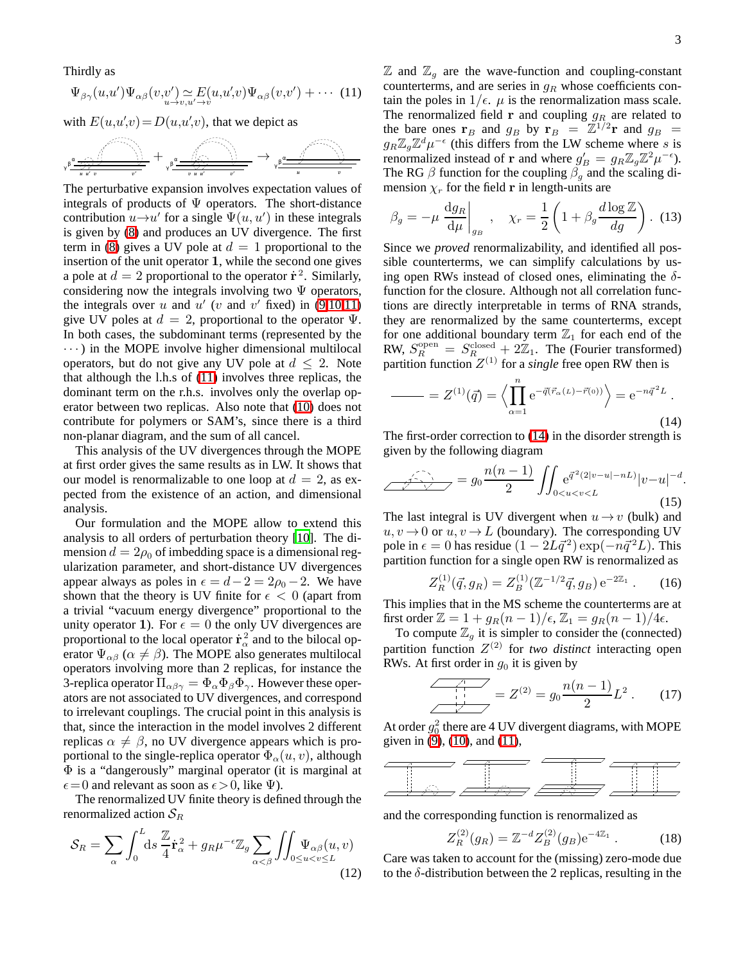<span id="page-2-0"></span>Thirdly as

$$
\Psi_{\beta\gamma}(u,u')\Psi_{\alpha\beta}(v,v')\underset{u\to v,u'\to v}{\simeq}E(u,u',v)\Psi_{\alpha\beta}(v,v')+\cdots
$$
 (11)

with  $E(u, u', v) = D(u, u', v)$ , that we depict as

$$
\frac{1}{\sqrt{1+\frac{1}{n} \sum\limits_{i=1}^{n} \frac{1}{\left( \sum\limits_{i=1}^{n} \frac{1}{\left( \sum\limits_{i=1}^{n} \frac{1}{\left( \sum\limits_{i=1}^{n} \frac{1}{\left( \sum\limits_{i=1}^{n} \frac{1}{\left( \sum\limits_{i=1}^{n} \frac{1}{\left( \sum\limits_{i=1}^{n} \frac{1}{\left( \sum\limits_{i=1}^{n} \frac{1}{\left( \sum\limits_{i=1}^{n} \frac{1}{\left( \sum\limits_{i=1}^{n} \frac{1}{\left( \sum\limits_{i=1}^{n} \frac{1}{\left( \sum\limits_{i=1}^{n} \frac{1}{\left( \sum\limits_{i=1}^{n} \frac{1}{\left( \sum\limits_{i=1}^{n} \frac{1}{\left( \sum\limits_{i=1}^{n} \frac{1}{\left( \sum\limits_{i=1}^{n} \frac{1}{\left( \sum\limits_{i=1}^{n} \frac{1}{\left( \sum\limits_{i=1}^{n} \frac{1}{\left( \sum\limits_{i=1}^{n} \frac{1}{\left( \sum\limits_{i=1}^{n} \frac{1}{\left( \sum\limits_{i=1}^{n} \frac{1}{\left( \sum\limits_{i=1}^{n} \frac{1}{\left( \sum\limits_{i=1}^{n} \frac{1}{\left( \sum\limits_{i=1}^{n} \frac{1}{\left( \sum\limits_{i=1}^{n} \frac{1}{\left( \sum\limits_{i=1}^{n} \frac{1}{\left( \sum\limits_{i=1}^{n} \frac{1}{\left( \sum\limits_{i=1}^{n} \frac{1}{\left( \sum\limits_{i=1}^{n} \frac{1}{\left( \sum\limits_{i=1}^{n} \frac{1}{\left( \sum\limits_{i=1}^{n} \frac{1}{\left( \sum\limits_{i=1}^{n} \frac{1}{\left( \sum\limits_{i=1}^{n} \frac{1}{\left( \sum\limits_{i=1}^{n} \frac{1}{\left( \sum\limits_{i=1}^{n} \frac{1}{\left( \sum\limits_{i=1}^{n} \frac{1}{\left( \sum\limits_{i=1}^{n} \frac{1}{\left( \sum\limits
$$

The perturbative expansion involves expectation values of integrals of products of  $\Psi$  operators. The short-distance contribution  $u \rightarrow u'$  for a single  $\Psi(u, u')$  in these integrals is given by [\(8\)](#page-1-3) and produces an UV divergence. The first term in [\(8\)](#page-1-3) gives a UV pole at  $d = 1$  proportional to the insertion of the unit operator 1, while the second one gives a pole at  $d = 2$  proportional to the operator  $\dot{\mathbf{r}}^2$ . Similarly, considering now the integrals involving two  $\Psi$  operators, the integrals over u and  $u'$  (v and v' fixed) in [\(9](#page-1-4)[,10,](#page-1-5)[11\)](#page-2-0) give UV poles at  $d = 2$ , proportional to the operator  $\Psi$ . In both cases, the subdominant terms (represented by the  $\cdots$ ) in the MOPE involve higher dimensional multilocal operators, but do not give any UV pole at  $d \leq 2$ . Note that although the l.h.s of [\(11\)](#page-2-0) involves three replicas, the dominant term on the r.h.s. involves only the overlap operator between two replicas. Also note that [\(10\)](#page-1-5) does not contribute for polymers or SAM's, since there is a third non-planar diagram, and the sum of all cancel.

This analysis of the UV divergences through the MOPE at first order gives the same results as in LW. It shows that our model is renormalizable to one loop at  $d = 2$ , as expected from the existence of an action, and dimensional analysis.

Our formulation and the MOPE allow to extend this analysis to all orders of perturbation theory [\[10\]](#page-3-9). The dimension  $d = 2\rho_0$  of imbedding space is a dimensional regularization parameter, and short-distance UV divergences appear always as poles in  $\epsilon = d - 2 = 2\rho_0 - 2$ . We have shown that the theory is UV finite for  $\epsilon$  < 0 (apart from a trivial "vacuum energy divergence" proportional to the unity operator 1). For  $\epsilon = 0$  the only UV divergences are proportional to the local operator  $\dot{\mathbf{r}}_{\alpha}^2$  and to the bilocal operator  $\Psi_{\alpha\beta}$  ( $\alpha \neq \beta$ ). The MOPE also generates multilocal operators involving more than 2 replicas, for instance the 3-replica operator  $\Pi_{\alpha\beta\gamma} = \Phi_{\alpha} \Phi_{\beta} \Phi_{\gamma}$ . However these operators are not associated to UV divergences, and correspond to irrelevant couplings. The crucial point in this analysis is that, since the interaction in the model involves 2 different replicas  $\alpha \neq \beta$ , no UV divergence appears which is proportional to the single-replica operator  $\Phi_{\alpha}(u, v)$ , although Φ is a "dangerously" marginal operator (it is marginal at  $\epsilon = 0$  and relevant as soon as  $\epsilon > 0$ , like  $\Psi$ ).

The renormalized UV finite theory is defined through the renormalized action  $S_R$ 

$$
S_R = \sum_{\alpha} \int_0^L ds \, \frac{\mathbb{Z}}{4} \dot{\mathbf{r}}_{\alpha}^2 + g_R \mu^{-\epsilon} \mathbb{Z}_g \sum_{\alpha < \beta} \iint_{0 \le u < v \le L} \Psi_{\alpha\beta}(u, v) \tag{12}
$$

 $\mathbb{Z}$  and  $\mathbb{Z}_q$  are the wave-function and coupling-constant counterterms, and are series in  $g_R$  whose coefficients contain the poles in  $1/\epsilon$ .  $\mu$  is the renormalization mass scale. The renormalized field  $\bf{r}$  and coupling  $g_R$  are related to the bare ones  $\mathbf{r}_B$  and  $g_B$  by  $\mathbf{r}_B = \mathbb{Z}^{1/2} \mathbf{r}$  and  $g_B =$  $g_R \mathbb{Z}_g \mathbb{Z}^d \mu^{-\epsilon}$  (this differs from the LW scheme where s is renormalized instead of **r** and where  $g'_B = g_R \mathbb{Z}_g \mathbb{Z}^2 \mu^{-\epsilon}$ ). The RG  $\beta$  function for the coupling  $\beta_g$  and the scaling dimension  $\chi_r$  for the field **r** in length-units are

$$
\beta_g = -\mu \left. \frac{\mathrm{d}g_R}{\mathrm{d}\mu} \right|_{g_B} , \quad \chi_r = \frac{1}{2} \left( 1 + \beta_g \frac{d \log \mathbb{Z}}{dg} \right). \tag{13}
$$

Since we *proved* renormalizability, and identified all possible counterterms, we can simplify calculations by using open RWs instead of closed ones, eliminating the  $\delta$ function for the closure. Although not all correlation functions are directly interpretable in terms of RNA strands, they are renormalized by the same counterterms, except for one additional boundary term  $\mathbb{Z}_1$  for each end of the RW,  $S_R^{\text{open}} = S_R^{\text{closed}} + 2\mathbb{Z}_1$ . The (Fourier transformed) partition function  $Z^{(1)}$  for a *single* free open RW then is

<span id="page-2-1"></span>
$$
= Z^{(1)}(\vec{q}) = \left\langle \prod_{\alpha=1}^{n} e^{-\vec{q}(\vec{r}_{\alpha}(L) - \vec{r}(0))} \right\rangle = e^{-n\vec{q}^{2}L} .
$$
\n(14)

The first-order correction to [\(14\)](#page-2-1) in the disorder strength is given by the following diagram

$$
\frac{n(n-1)}{2} \int_{0 < u < v < L} e^{\vec{q}^2 (2|v-u| - nL)} |v-u|^{-d}.
$$
\n(15)

The last integral is UV divergent when  $u \rightarrow v$  (bulk) and  $u, v \rightarrow 0$  or  $u, v \rightarrow L$  (boundary). The corresponding UV pole in  $\epsilon = 0$  has residue  $(1 - 2L\vec{q}^2) \exp(-n\vec{q}^2L)$ . This partition function for a single open RW is renormalized as

$$
Z_R^{(1)}(\vec{q}, g_R) = Z_B^{(1)}(\mathbb{Z}^{-1/2}\vec{q}, g_B) e^{-2\mathbb{Z}_1} . \qquad (16)
$$

This implies that in the MS scheme the counterterms are at first order  $\mathbb{Z} = 1 + g_R(n-1)/\epsilon$ ,  $\mathbb{Z}_1 = g_R(n-1)/4\epsilon$ .

To compute  $\mathbb{Z}_q$  it is simpler to consider the (connected) partition function Z (2) for *two distinct* interacting open RWs. At first order in  $q_0$  it is given by

$$
\frac{1}{\sqrt{1-\frac{1}{2}}} = Z^{(2)} = g_0 \frac{n(n-1)}{2} L^2 \,. \tag{17}
$$

At order  $g_0^2$  there are 4 UV divergent diagrams, with MOPE given in [\(9\)](#page-1-4), [\(10\)](#page-1-5), and [\(11\)](#page-2-0),



and the corresponding function is renormalized as

$$
Z_R^{(2)}(g_R) = \mathbb{Z}^{-d} Z_B^{(2)}(g_B) e^{-4\mathbb{Z}_1} . \tag{18}
$$

Care was taken to account for the (missing) zero-mode due to the  $\delta$ -distribution between the 2 replicas, resulting in the